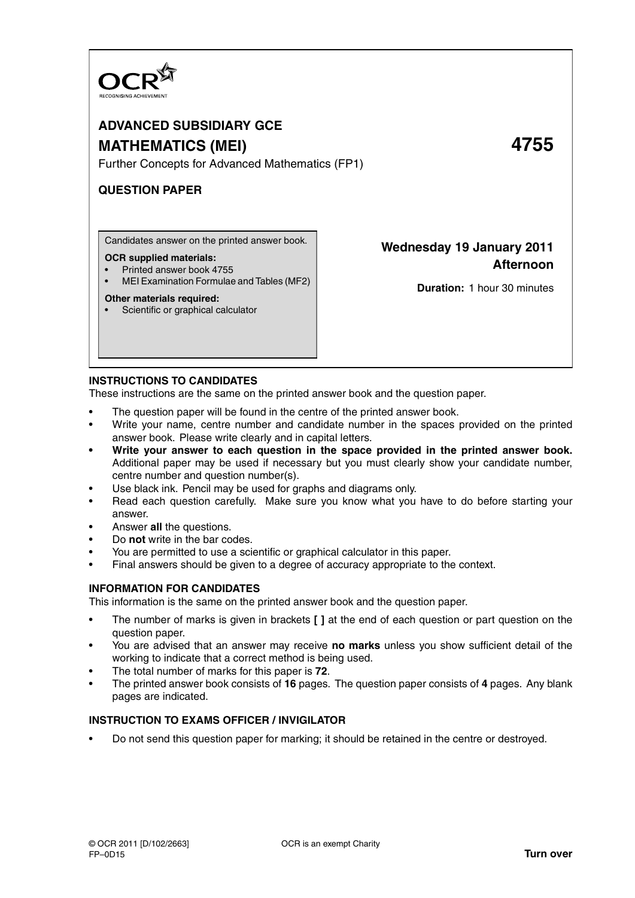

# **ADVANCED SUBSIDIARY GCE MATHEMATICS (MEI) 4755**

Further Concepts for Advanced Mathematics (FP1)

# **QUESTION PAPER**

Candidates answer on the printed answer book.

## **OCR supplied materials:**

- Printed answer book 4755
- MEI Examination Formulae and Tables (MF2)

## **Other materials required:**

• Scientific or graphical calculator

# **Wednesday 19 January 2011 Afternoon**

**Duration:** 1 hour 30 minutes

# **INSTRUCTIONS TO CANDIDATES**

These instructions are the same on the printed answer book and the question paper.

- The question paper will be found in the centre of the printed answer book.
- Write your name, centre number and candidate number in the spaces provided on the printed answer book. Please write clearly and in capital letters.
- **Write your answer to each question in the space provided in the printed answer book.** Additional paper may be used if necessary but you must clearly show your candidate number, centre number and question number(s).
- Use black ink. Pencil may be used for graphs and diagrams only.
- Read each question carefully. Make sure you know what you have to do before starting your answer.
- Answer **all** the questions.
- Do **not** write in the bar codes.
- You are permitted to use a scientific or graphical calculator in this paper.
- Final answers should be given to a degree of accuracy appropriate to the context.

# **INFORMATION FOR CANDIDATES**

This information is the same on the printed answer book and the question paper.

- The number of marks is given in brackets **[ ]** at the end of each question or part question on the question paper.
- You are advised that an answer may receive **no marks** unless you show sufficient detail of the working to indicate that a correct method is being used.
- The total number of marks for this paper is **72**.
- The printed answer book consists of **16** pages. The question paper consists of **4** pages. Any blank pages are indicated.

# **INSTRUCTION TO EXAMS OFFICER / INVIGILATOR**

• Do not send this question paper for marking; it should be retained in the centre or destroyed.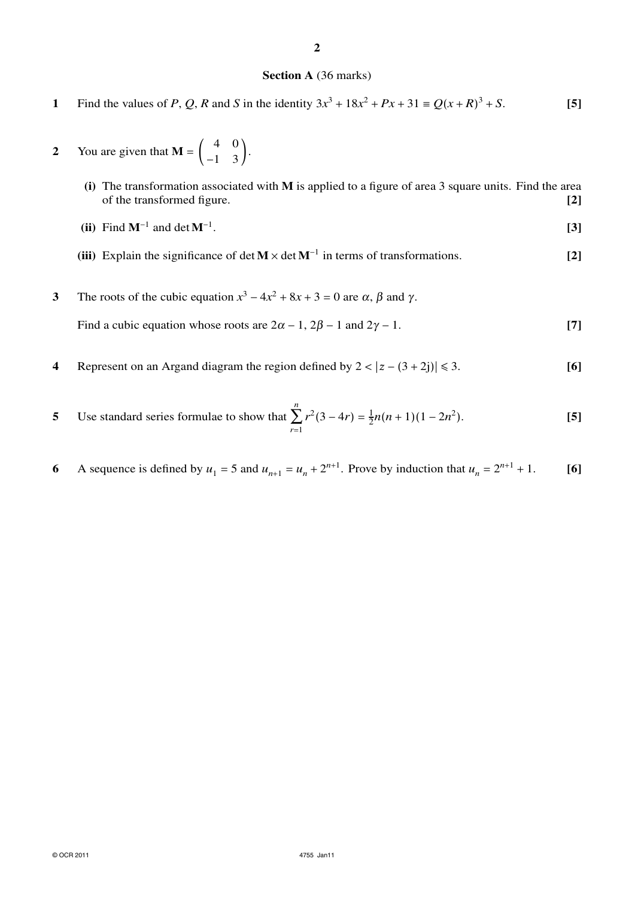## **2**

# **Section A** (36 marks)

- **1** Find the values of *P*, *Q*, *R* and *S* in the identity  $3x^3 + 18x^2 + Px + 31 \equiv Q(x+R)^3 + S$ . [5]
- **2** You are given that  $M = \begin{pmatrix} 4 & 0 \\ -1 & 3 \end{pmatrix}$ .

**(i)** The transformation associated with **M** is applied to a figure of area 3 square units. Find the area of the transformed figure. **[2]**

- **(ii)** Find  $M^{-1}$  and det  $M^{-1}$ . . **[3]**
- (iii) Explain the significance of det  $M \times$  det  $M^{-1}$  in terms of transformations. [2]
- **3** The roots of the cubic equation  $x^3 4x^2 + 8x + 3 = 0$  are  $\alpha$ ,  $\beta$  and  $\gamma$ . Find a cubic equation whose roots are  $2\alpha - 1$ ,  $2\beta - 1$  and  $2\gamma - 1$ . **[7]**
- **4** Represent on an Argand diagram the region defined by  $2 < |z (3 + 2i)| \le 3$ . [6]
- **5** Use standard series formulae to show that *n* ∑ *r*=1  $r^2(3-4r) = \frac{1}{2}n(n+1)(1-2n^2)$ ). **[5]**
- **6** A sequence is defined by  $u_1 = 5$  and  $u_{n+1} = u_n + 2^{n+1}$ . Prove by induction that  $u_n = 2^{n+1} + 1$ . [6]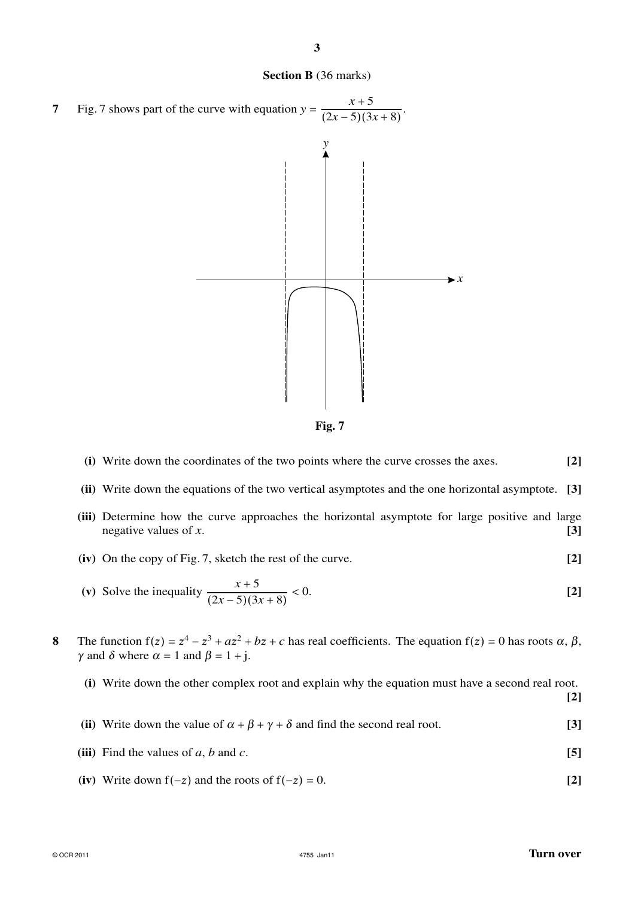

**Fig. 7**

|  | (i) Write down the coordinates of the two points where the curve crosses the axes. | $[2]$ |
|--|------------------------------------------------------------------------------------|-------|
|--|------------------------------------------------------------------------------------|-------|

**(ii)** Write down the equations of the two vertical asymptotes and the one horizontal asymptote. **[3]**

- **(iii)** Determine how the curve approaches the horizontal asymptote for large positive and large negative values of *x*. **[3]**
- **(iv)** On the copy of Fig. 7, sketch the rest of the curve. **[2]**

(v) Solve the inequality 
$$
\frac{x+5}{(2x-5)(3x+8)} < 0.
$$
 [2]

**8** The function  $f(z) = z^4 - z^3 + az^2 + bz + c$  has real coefficients. The equation  $f(z) = 0$  has roots  $\alpha$ ,  $\beta$ ,  $\gamma$  and  $\delta$  where  $\alpha = 1$  and  $\beta = 1 + j$ .

**(i)** Write down the other complex root and explain why the equation must have a second real root.

**[2]**

- **(ii)** Write down the value of  $\alpha + \beta + \gamma + \delta$  and find the second real root. **[3]**
- (iii) Find the values of *a*, *b* and *c*.  $[5]$
- (iv) Write down  $f(-z)$  and the roots of  $f(-z) = 0$ . [2]

**Section B** (36 marks)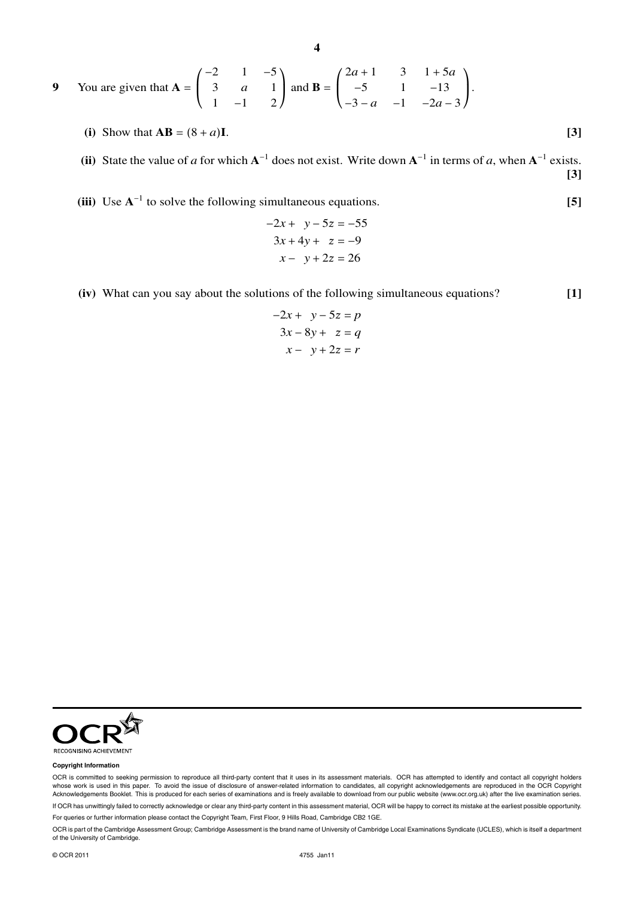**4**

9 You are given that 
$$
A = \begin{pmatrix} -2 & 1 & -5 \ 3 & a & 1 \ 1 & -1 & 2 \end{pmatrix}
$$
 and  $B = \begin{pmatrix} 2a+1 & 3 & 1+5a \ -5 & 1 & -13 \ -3-a & -1 & -2a-3 \end{pmatrix}$ .

\n- (i) Show that 
$$
AB = (8 + a)I
$$
.
\n- (ii) State the value of *a* for which  $A^{-1}$  does not exist. Write down  $A^{-1}$  in terms of *a*, when  $A^{-1}$  exists.
\n

**[3]**

**(iii)** Use **A**<sup>−</sup><sup>1</sup> to solve the following simultaneous equations. **[5]**

$$
-2x + y - 5z = -55
$$

$$
3x + 4y + z = -9
$$

$$
x - y + 2z = 26
$$

**(iv)** What can you say about the solutions of the following simultaneous equations? **[1]**

$$
-2x + y - 5z = p
$$

$$
3x - 8y + z = q
$$

$$
x - y + 2z = r
$$



#### **Copyright Information**

OCR is committed to seeking permission to reproduce all third-party content that it uses in its assessment materials. OCR has attempted to identify and contact all copyright holders whose work is used in this paper. To avoid the issue of disclosure of answer-related information to candidates, all copyright acknowledgements are reproduced in the OCR Copyright Acknowledgements Booklet. This is produced for each series of examinations and is freely available to download from our public website (www.ocr.org.uk) after the live examination series.

If OCR has unwittingly failed to correctly acknowledge or clear any third-party content in this assessment material, OCR will be happy to correct its mistake at the earliest possible opportunity.

For queries or further information please contact the Copyright Team, First Floor, 9 Hills Road, Cambridge CB2 1GE.

OCR is part of the Cambridge Assessment Group; Cambridge Assessment is the brand name of University of Cambridge Local Examinations Syndicate (UCLES), which is itself a department of the University of Cambridge.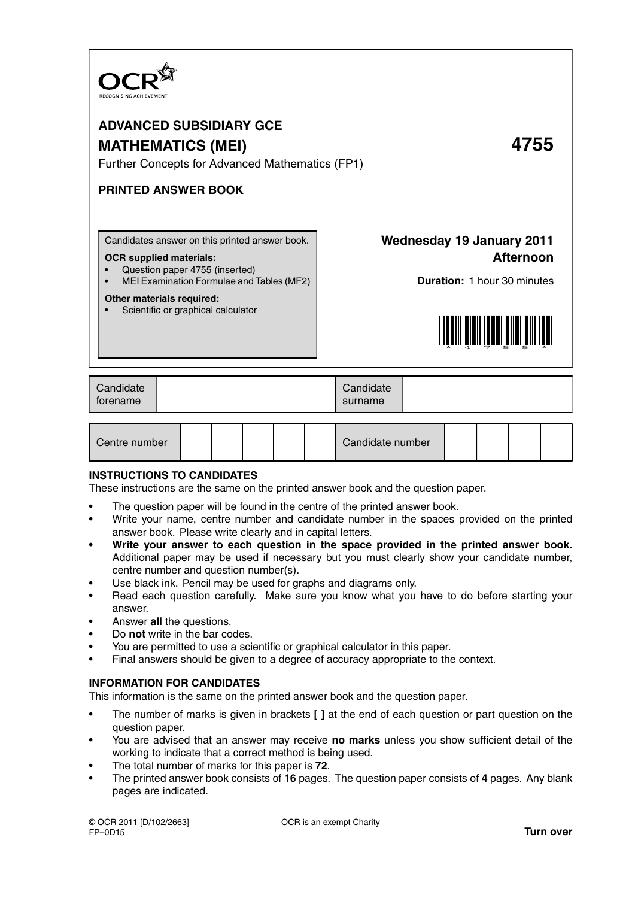

# **ADVANCED SUBSIDIARY GCE MATHEMATICS (MEI) 4755**

Further Concepts for Advanced Mathematics (FP1)

# **PRINTED ANSWER BOOK**

Candidates answer on this printed answer book.

## **OCR supplied materials:**

- Question paper 4755 (inserted)
- MEI Examination Formulae and Tables (MF2)

## **Other materials required:**

Scientific or graphical calculator

# **Wednesday 19 January 2011 Afternoon**

**Duration:** 1 hour 30 minutes



| Candidate<br>Candidate<br>torename<br>surname |  |  |  |  |  |
|-----------------------------------------------|--|--|--|--|--|
|-----------------------------------------------|--|--|--|--|--|

| Centre number |  |  |  |  |  | Candidate number |  |  |  |  |
|---------------|--|--|--|--|--|------------------|--|--|--|--|
|---------------|--|--|--|--|--|------------------|--|--|--|--|

# **INSTRUCTIONS TO CANDIDATES**

These instructions are the same on the printed answer book and the question paper.

- The question paper will be found in the centre of the printed answer book.
- Write your name, centre number and candidate number in the spaces provided on the printed answer book. Please write clearly and in capital letters.
- **Write your answer to each question in the space provided in the printed answer book.** Additional paper may be used if necessary but you must clearly show your candidate number, centre number and question number(s).
- Use black ink. Pencil may be used for graphs and diagrams only.
- Read each question carefully. Make sure you know what you have to do before starting your answer.
- Answer **all** the questions.
- Do **not** write in the bar codes.
- You are permitted to use a scientific or graphical calculator in this paper.
- Final answers should be given to a degree of accuracy appropriate to the context.

# **INFORMATION FOR CANDIDATES**

This information is the same on the printed answer book and the question paper.

- The number of marks is given in brackets **[ ]** at the end of each question or part question on the question paper.
- You are advised that an answer may receive **no marks** unless you show sufficient detail of the working to indicate that a correct method is being used.
- The total number of marks for this paper is **72**.
- The printed answer book consists of **16** pages. The question paper consists of **4** pages. Any blank pages are indicated.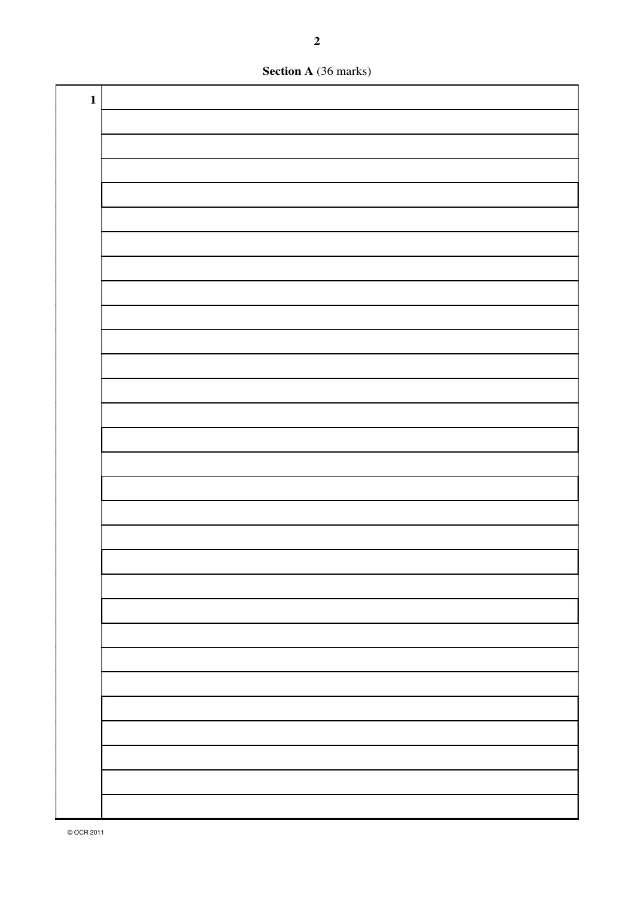**Section A** (36 marks)

| $\mathbf{1}$ |  |
|--------------|--|
|              |  |
|              |  |
|              |  |
|              |  |
|              |  |
|              |  |
|              |  |
|              |  |
|              |  |
|              |  |
|              |  |
|              |  |
|              |  |
|              |  |
|              |  |
|              |  |
|              |  |
|              |  |
|              |  |
|              |  |
|              |  |
|              |  |
|              |  |
|              |  |
|              |  |
|              |  |
|              |  |
|              |  |
|              |  |
|              |  |
|              |  |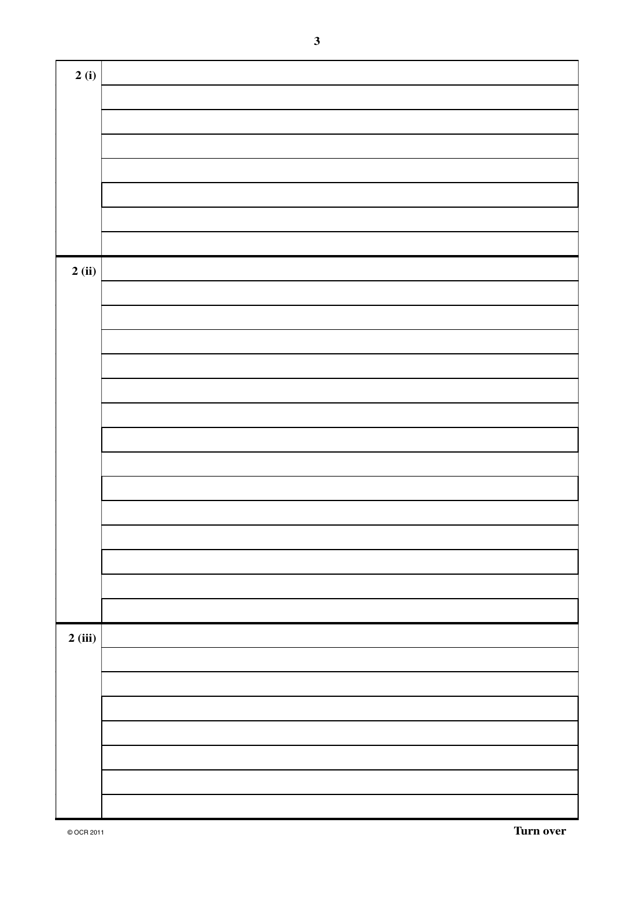| 2(i)   |  |
|--------|--|
|        |  |
|        |  |
|        |  |
|        |  |
|        |  |
|        |  |
|        |  |
|        |  |
| 2(i)   |  |
|        |  |
|        |  |
|        |  |
|        |  |
|        |  |
|        |  |
|        |  |
|        |  |
|        |  |
|        |  |
|        |  |
|        |  |
|        |  |
|        |  |
|        |  |
|        |  |
|        |  |
| 2(iii) |  |
|        |  |
|        |  |
|        |  |
|        |  |
|        |  |
|        |  |
|        |  |
|        |  |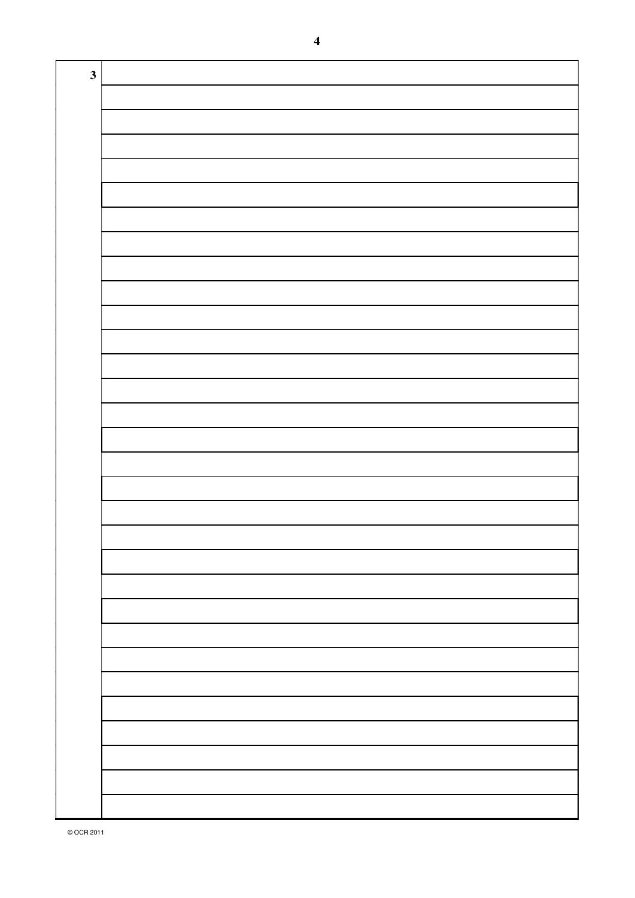| $\mathbf{3}$ |  |
|--------------|--|
|              |  |
|              |  |
|              |  |
|              |  |
|              |  |
|              |  |
|              |  |
|              |  |
|              |  |
|              |  |
|              |  |
|              |  |
|              |  |
|              |  |
|              |  |
|              |  |
|              |  |
|              |  |
|              |  |
|              |  |
|              |  |
|              |  |
|              |  |
|              |  |
|              |  |
|              |  |
|              |  |
|              |  |
|              |  |
|              |  |
|              |  |
|              |  |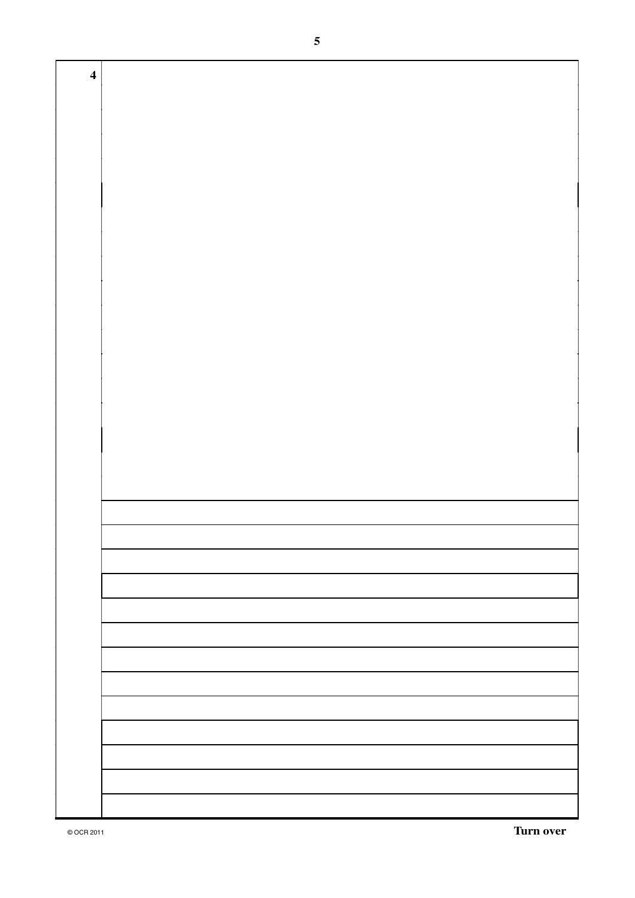| $\overline{\mathbf{4}}$ |  |
|-------------------------|--|
|                         |  |
|                         |  |
|                         |  |
|                         |  |
|                         |  |
|                         |  |
|                         |  |
|                         |  |
|                         |  |
|                         |  |
|                         |  |
|                         |  |
|                         |  |
|                         |  |
|                         |  |
|                         |  |
|                         |  |
|                         |  |
|                         |  |
|                         |  |
|                         |  |
|                         |  |
|                         |  |
|                         |  |
|                         |  |
|                         |  |
|                         |  |
|                         |  |
|                         |  |
|                         |  |
|                         |  |
|                         |  |
|                         |  |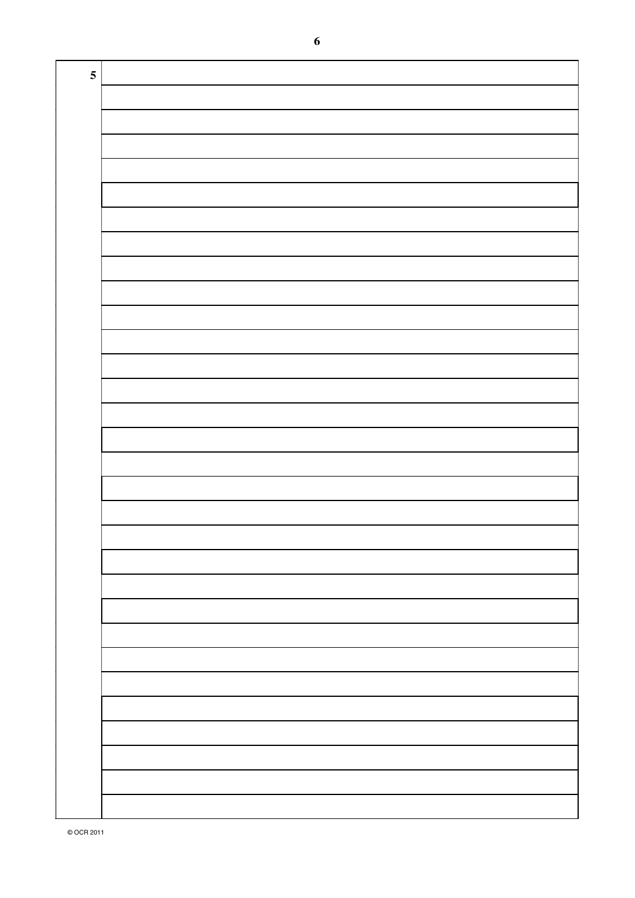| ${\bf 5}$ |  |
|-----------|--|
|           |  |
|           |  |
|           |  |
|           |  |
|           |  |
|           |  |
|           |  |
|           |  |
|           |  |
|           |  |
|           |  |
|           |  |
|           |  |
|           |  |
|           |  |
|           |  |
|           |  |
|           |  |
|           |  |
|           |  |
|           |  |
|           |  |
|           |  |
|           |  |
|           |  |
|           |  |
|           |  |
|           |  |
|           |  |
|           |  |

 $\boldsymbol{6}$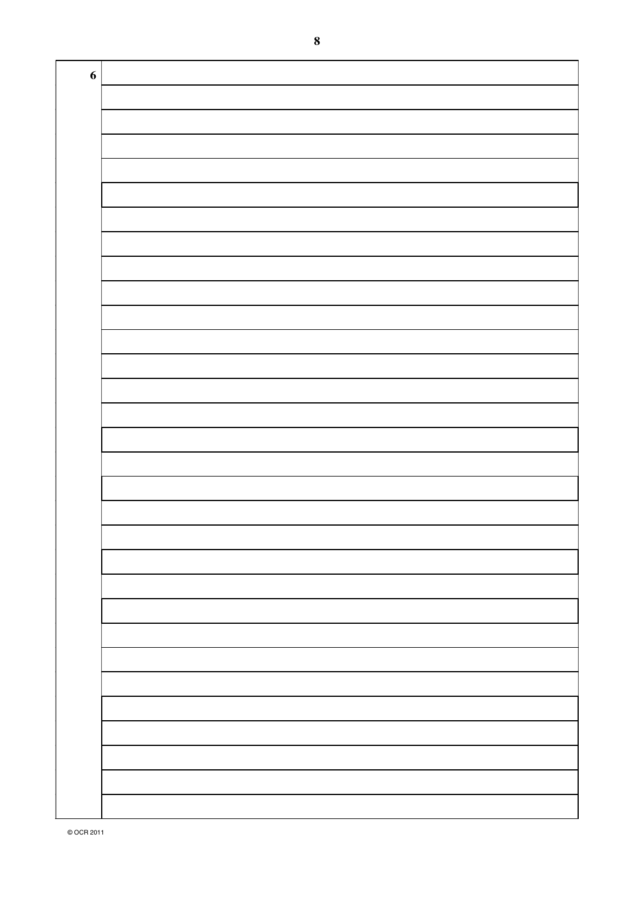| $\boldsymbol{6}$ |  |
|------------------|--|
|                  |  |
|                  |  |
|                  |  |
|                  |  |
|                  |  |
|                  |  |
|                  |  |
|                  |  |
|                  |  |
|                  |  |
|                  |  |
|                  |  |
|                  |  |
|                  |  |
|                  |  |
|                  |  |
|                  |  |
|                  |  |
|                  |  |
|                  |  |
|                  |  |
|                  |  |
|                  |  |
|                  |  |
|                  |  |
|                  |  |
|                  |  |
|                  |  |
|                  |  |
|                  |  |
|                  |  |
|                  |  |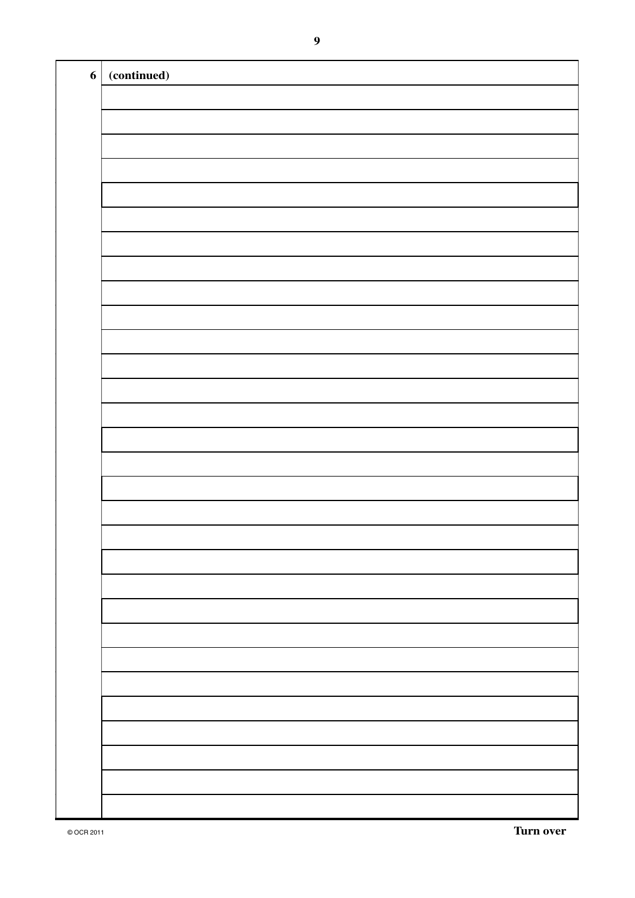| $\boldsymbol{6}$ | (continued) |
|------------------|-------------|
|                  |             |
|                  |             |
|                  |             |
|                  |             |
|                  |             |
|                  |             |
|                  |             |
|                  |             |
|                  |             |
|                  |             |
|                  |             |
|                  |             |
|                  |             |
|                  |             |
|                  |             |
|                  |             |
|                  |             |
|                  |             |
|                  |             |
|                  |             |
|                  |             |
|                  |             |
|                  |             |
|                  |             |
|                  |             |
|                  |             |
|                  |             |
|                  |             |
|                  |             |
|                  |             |
|                  |             |
|                  |             |
|                  |             |
|                  |             |
|                  |             |
|                  |             |
|                  |             |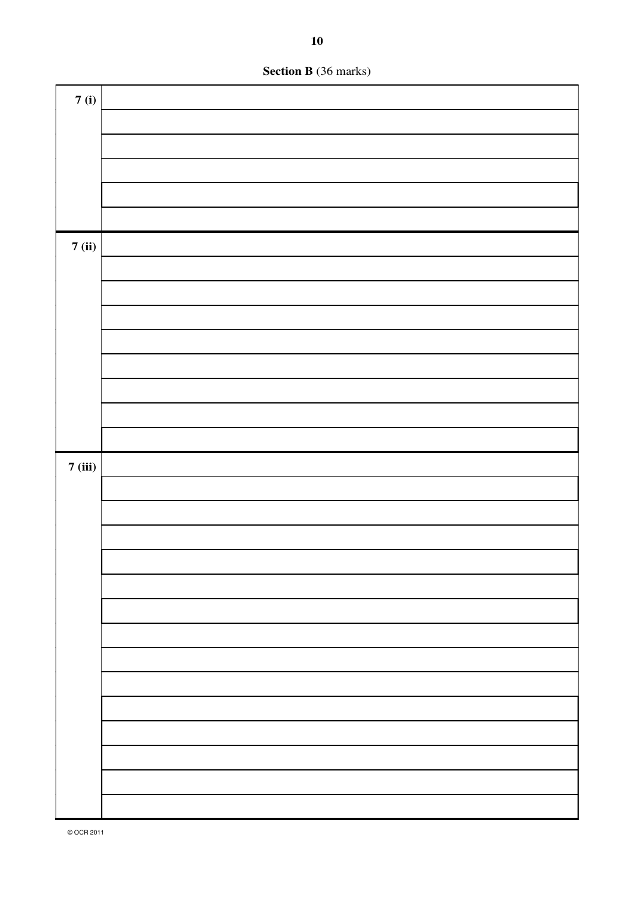

| 7(i)   |  |
|--------|--|
|        |  |
|        |  |
|        |  |
|        |  |
|        |  |
| 7(ii)  |  |
|        |  |
|        |  |
|        |  |
|        |  |
|        |  |
|        |  |
|        |  |
|        |  |
|        |  |
|        |  |
| 7(iii) |  |
|        |  |
|        |  |
|        |  |
|        |  |
|        |  |
|        |  |
|        |  |
|        |  |
|        |  |
|        |  |
|        |  |
|        |  |
|        |  |
|        |  |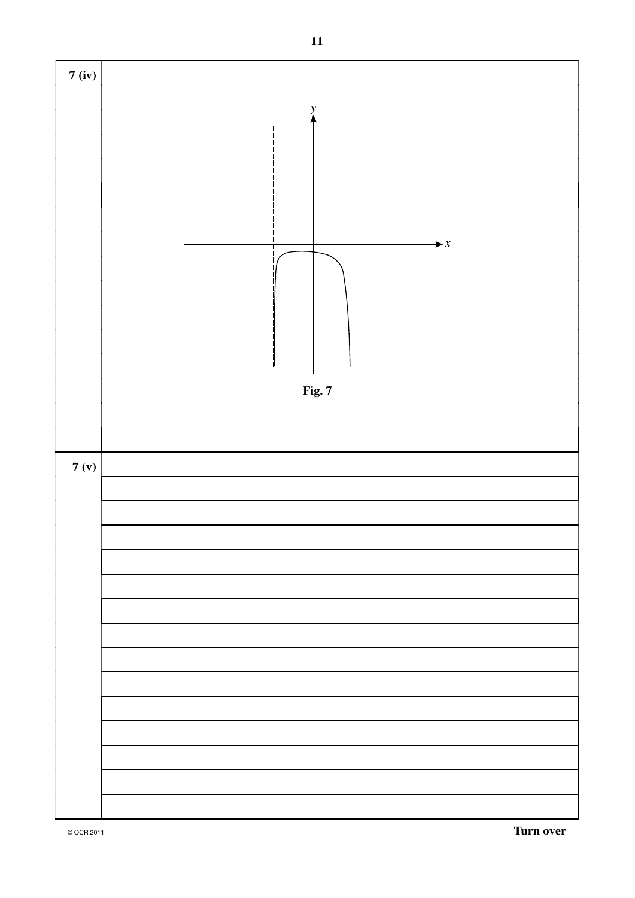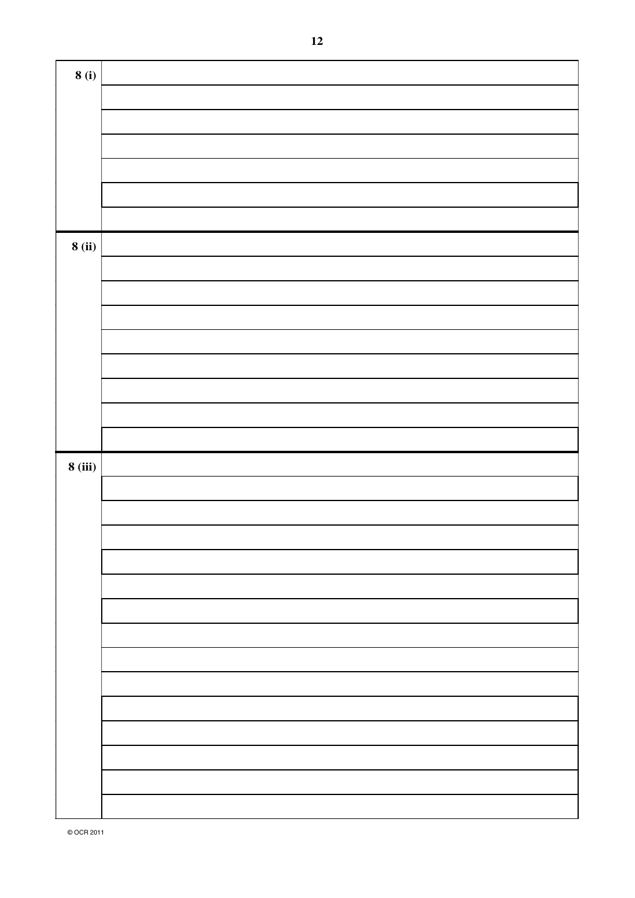| 8(i)           |  |
|----------------|--|
|                |  |
|                |  |
|                |  |
|                |  |
|                |  |
|                |  |
|                |  |
| 8(ii)          |  |
|                |  |
|                |  |
|                |  |
|                |  |
|                |  |
|                |  |
|                |  |
|                |  |
|                |  |
|                |  |
| <b>8</b> (iii) |  |
|                |  |
|                |  |
|                |  |
|                |  |
|                |  |
|                |  |
|                |  |
|                |  |
|                |  |
|                |  |
|                |  |
|                |  |
|                |  |
|                |  |
|                |  |
|                |  |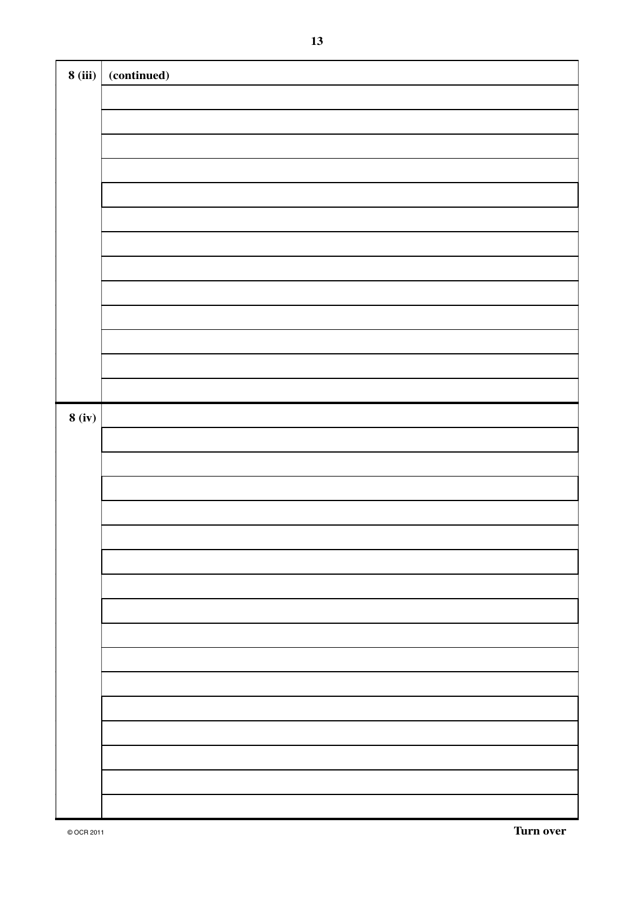| <b>8</b> (iii) | (continued) |
|----------------|-------------|
|                |             |
|                |             |
|                |             |
|                |             |
|                |             |
|                |             |
|                |             |
|                |             |
|                |             |
|                |             |
|                |             |
|                |             |
|                |             |
|                |             |
| 8(iv)          |             |
|                |             |
|                |             |
|                |             |
|                |             |
|                |             |
|                |             |
|                |             |
|                |             |
|                |             |
|                |             |
|                |             |
|                |             |
|                |             |
|                |             |
|                |             |
|                |             |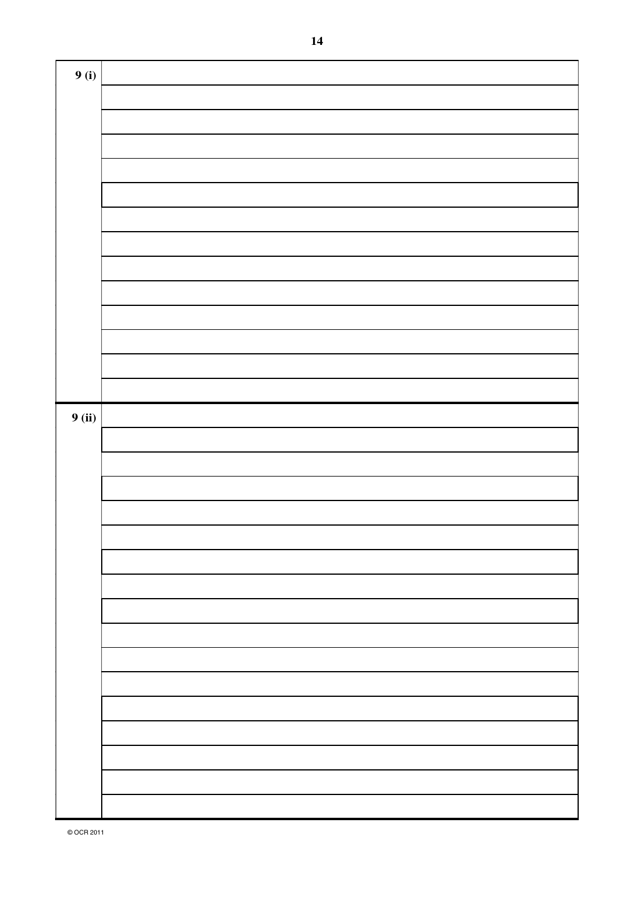| 9(i)          |  |
|---------------|--|
|               |  |
|               |  |
|               |  |
|               |  |
|               |  |
|               |  |
|               |  |
|               |  |
|               |  |
|               |  |
|               |  |
|               |  |
|               |  |
|               |  |
| <b>9</b> (ii) |  |
|               |  |
|               |  |
|               |  |
|               |  |
|               |  |
|               |  |
|               |  |
|               |  |
|               |  |
|               |  |
|               |  |
|               |  |
|               |  |
|               |  |
|               |  |
|               |  |
|               |  |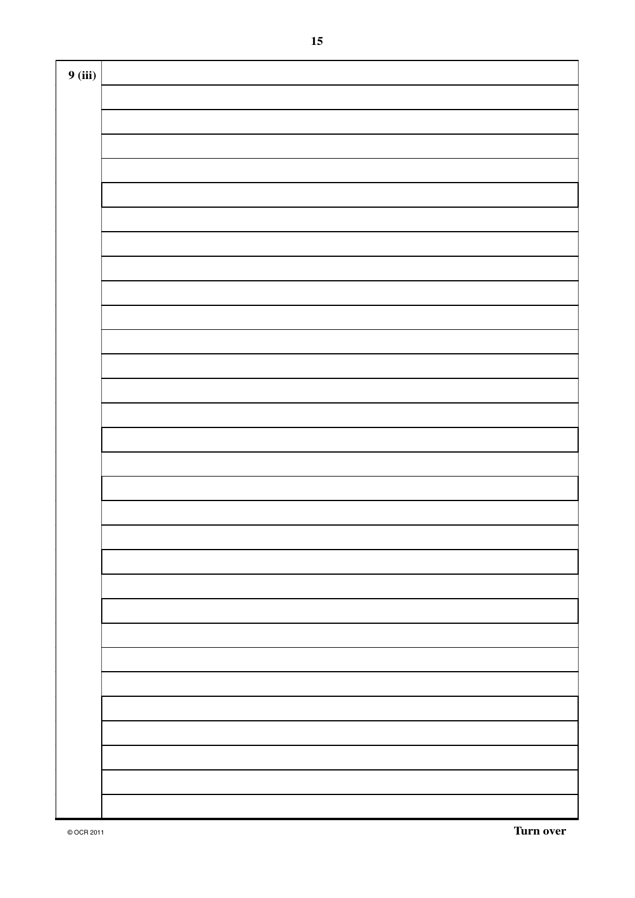| 9(iii) |  |
|--------|--|
|        |  |
|        |  |
|        |  |
|        |  |
|        |  |
|        |  |
|        |  |
|        |  |
|        |  |
|        |  |
|        |  |
|        |  |
|        |  |
|        |  |
|        |  |
|        |  |
|        |  |
|        |  |
|        |  |
|        |  |
|        |  |
|        |  |
|        |  |
|        |  |
|        |  |
|        |  |
|        |  |
|        |  |
|        |  |
|        |  |
|        |  |